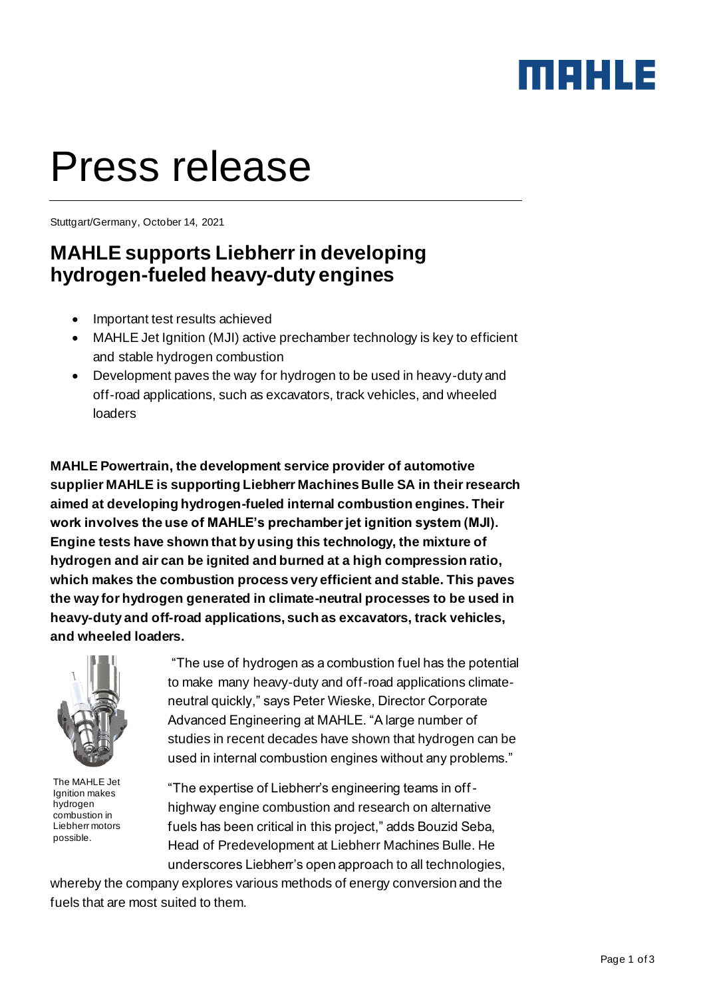### maxua

# Press release

Stuttgart/Germany, October 14, 2021

#### **MAHLE supports Liebherr in developing hydrogen-fueled heavy-duty engines**

- Important test results achieved
- MAHLE Jet Ignition (MJI) active prechamber technology is key to efficient and stable hydrogen combustion
- Development paves the way for hydrogen to be used in heavy-duty and off-road applications, such as excavators, track vehicles, and wheeled loaders

**MAHLE Powertrain, the development service provider of automotive supplier MAHLE is supporting Liebherr Machines Bulle SA in their research aimed at developing hydrogen-fueled internal combustion engines. Their work involves the use of MAHLE's prechamber jet ignition system (MJI). Engine tests have shown that by using this technology, the mixture of hydrogen and air can be ignited and burned at a high compression ratio, which makes the combustion process very efficient and stable. This paves the way for hydrogen generated in climate-neutral processes to be used in heavy-duty and off-road applications, such as excavators, track vehicles, and wheeled loaders.** 



The MAHLE Jet Ignition makes hydrogen combustion in Liebherr motors possible.

"The use of hydrogen as a combustion fuel has the potential to make many heavy-duty and off-road applications climateneutral quickly," says Peter Wieske, Director Corporate Advanced Engineering at MAHLE. "A large number of studies in recent decades have shown that hydrogen can be used in internal combustion engines without any problems."

"The expertise of Liebherr's engineering teams in offhighway engine combustion and research on alternative fuels has been critical in this project," adds Bouzid Seba, Head of Predevelopment at Liebherr Machines Bulle. He underscores Liebherr's open approach to all technologies,

whereby the company explores various methods of energy conversion and the fuels that are most suited to them.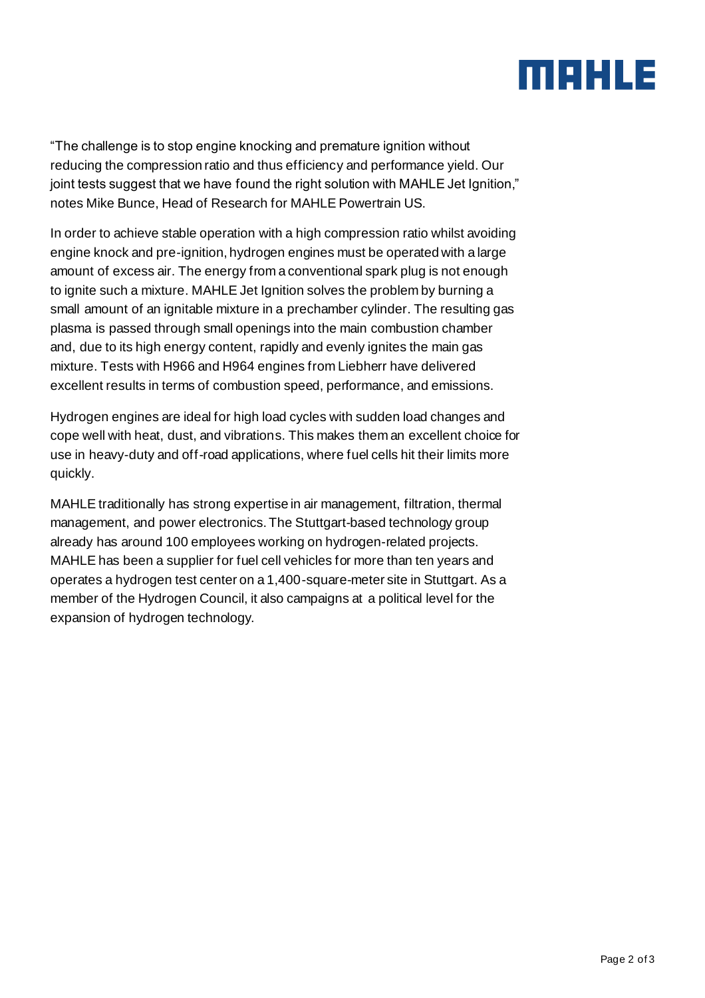## MAHLE

"The challenge is to stop engine knocking and premature ignition without reducing the compression ratio and thus efficiency and performance yield. Our joint tests suggest that we have found the right solution with MAHLE Jet Ignition," notes Mike Bunce, Head of Research for MAHLE Powertrain US.

In order to achieve stable operation with a high compression ratio whilst avoiding engine knock and pre-ignition, hydrogen engines must be operated with a large amount of excess air. The energy from a conventional spark plug is not enough to ignite such a mixture. MAHLE Jet Ignition solves the problem by burning a small amount of an ignitable mixture in a prechamber cylinder. The resulting gas plasma is passed through small openings into the main combustion chamber and, due to its high energy content, rapidly and evenly ignites the main gas mixture. Tests with H966 and H964 engines from Liebherr have delivered excellent results in terms of combustion speed, performance, and emissions.

Hydrogen engines are ideal for high load cycles with sudden load changes and cope well with heat, dust, and vibrations. This makes them an excellent choice for use in heavy-duty and off-road applications, where fuel cells hit their limits more quickly.

MAHLE traditionally has strong expertise in air management, filtration, thermal management, and power electronics. The Stuttgart-based technology group already has around 100 employees working on hydrogen-related projects. MAHLE has been a supplier for fuel cell vehicles for more than ten years and operates a hydrogen test center on a 1,400-square-meter site in Stuttgart. As a member of the Hydrogen Council, it also campaigns at a political level for the expansion of hydrogen technology.